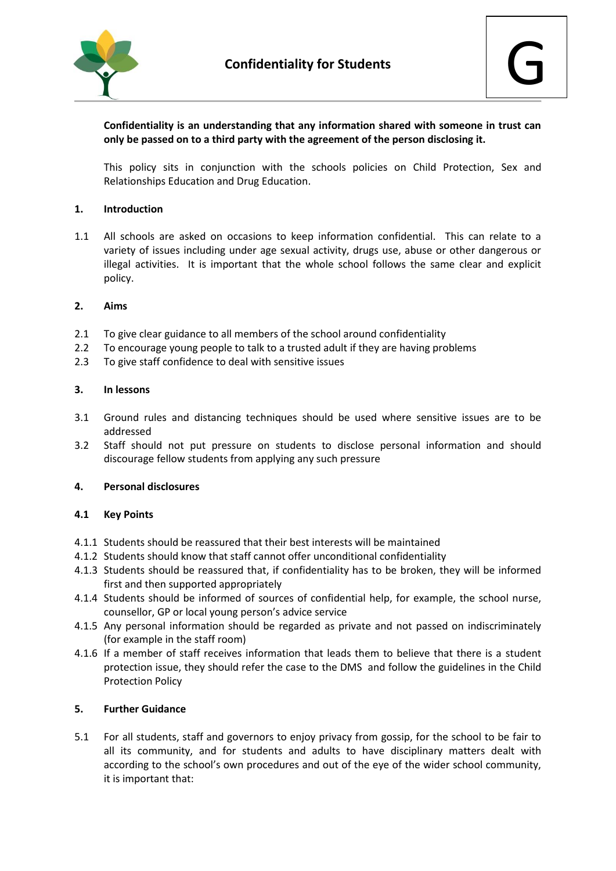

# **Confidentiality is an understanding that any information shared with someone in trust can only be passed on to a third party with the agreement of the person disclosing it.**

This policy sits in conjunction with the schools policies on Child Protection, Sex and Relationships Education and Drug Education.

### **1. Introduction**

1.1 All schools are asked on occasions to keep information confidential. This can relate to a variety of issues including under age sexual activity, drugs use, abuse or other dangerous or illegal activities. It is important that the whole school follows the same clear and explicit policy.

### **2. Aims**

- 2.1 To give clear guidance to all members of the school around confidentiality
- 2.2 To encourage young people to talk to a trusted adult if they are having problems
- 2.3 To give staff confidence to deal with sensitive issues

### **3. In lessons**

- 3.1 Ground rules and distancing techniques should be used where sensitive issues are to be addressed
- 3.2 Staff should not put pressure on students to disclose personal information and should discourage fellow students from applying any such pressure

#### **4. Personal disclosures**

#### **4.1 Key Points**

- 4.1.1 Students should be reassured that their best interests will be maintained
- 4.1.2 Students should know that staff cannot offer unconditional confidentiality
- 4.1.3 Students should be reassured that, if confidentiality has to be broken, they will be informed first and then supported appropriately
- 4.1.4 Students should be informed of sources of confidential help, for example, the school nurse, counsellor, GP or local young person's advice service
- 4.1.5 Any personal information should be regarded as private and not passed on indiscriminately (for example in the staff room)
- 4.1.6 If a member of staff receives information that leads them to believe that there is a student protection issue, they should refer the case to the DMS and follow the guidelines in the Child Protection Policy

#### **5. Further Guidance**

5.1 For all students, staff and governors to enjoy privacy from gossip, for the school to be fair to all its community, and for students and adults to have disciplinary matters dealt with according to the school's own procedures and out of the eye of the wider school community, it is important that: